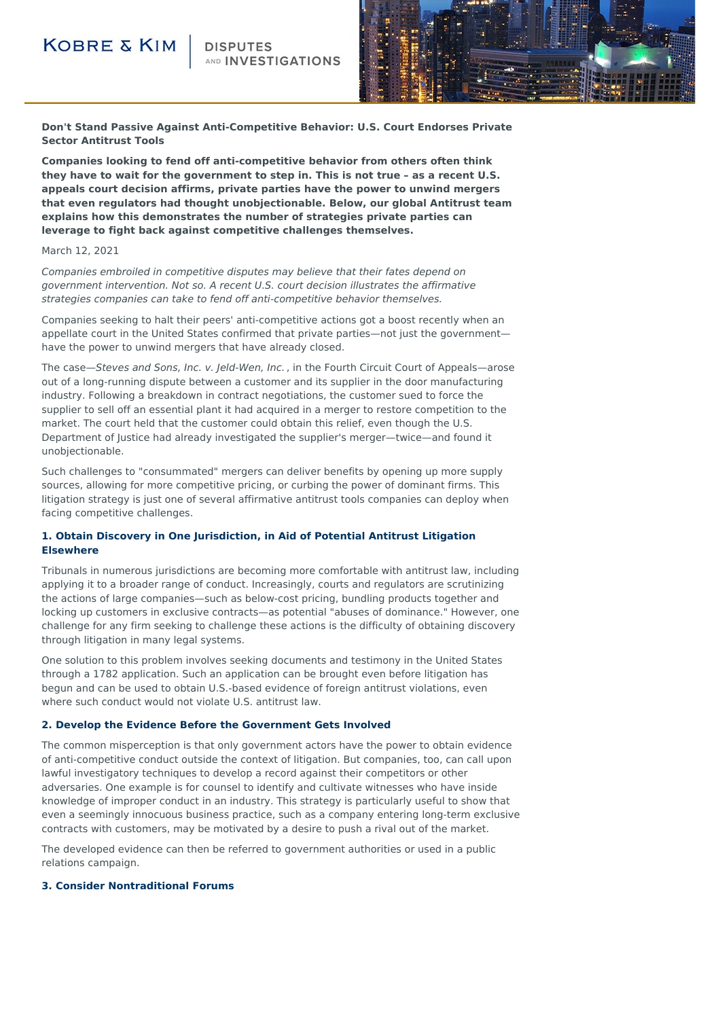## **KOBRE & KIM**

**ND INVESTIGATIONS** 



**Don't Stand Passive Against Anti-Competitive Behavior: U.S. Court Endorses Private Sector Antitrust Tools**

**Companies looking to fend off anti-competitive behavior from others often think they have to wait for the government to step in. This is not true – as a recent U.S. appeals court decision affirms, private parties have the power to unwind mergers that even regulators had thought unobjectionable. Below, our global Antitrust team explains how this demonstrates the number of strategies private parties can leverage to fight back against competitive challenges themselves.**

#### March 12, 2021

Companies embroiled in competitive disputes may believe that their fates depend on government intervention. Not so. A recent U.S. court decision illustrates the affirmative strategies companies can take to fend off anti-competitive behavior themselves.

Companies seeking to halt their peers' anti-competitive actions got a boost recently when an appellate court in the United States confirmed that private parties—not just the government have the power to unwind mergers that have already closed.

The case—Steves and Sons, Inc. v. Jeld-Wen, Inc., in the Fourth Circuit Court of Appeals—arose out of a long-running dispute between a customer and its supplier in the door manufacturing industry. Following a breakdown in contract negotiations, the customer sued to force the supplier to sell off an essential plant it had acquired in a merger to restore competition to the market. The court held that the customer could obtain this relief, even though the U.S. Department of Justice had already investigated the supplier's merger—twice—and found it unobjectionable.

Such challenges to "consummated" mergers can deliver benefits by opening up more supply sources, allowing for more competitive pricing, or curbing the power of dominant firms. This litigation strategy is just one of several affirmative antitrust tools companies can deploy when facing competitive challenges.

### **1. Obtain Discovery in One Jurisdiction, in Aid of Potential Antitrust Litigation Elsewhere**

Tribunals in numerous jurisdictions are becoming more comfortable with antitrust law, including applying it to a broader range of conduct. Increasingly, courts and regulators are scrutinizing the actions of large companies—such as below-cost pricing, bundling products together and locking up customers in exclusive contracts—as potential "abuses of dominance." However, one challenge for any firm seeking to challenge these actions is the difficulty of obtaining discovery through litigation in many legal systems.

One solution to this problem involves seeking documents and testimony in the United States through a 1782 application. Such an application can be brought even before litigation has begun and can be used to obtain U.S.-based evidence of foreign antitrust violations, even where such conduct would not violate U.S. antitrust law.

#### **2. Develop the Evidence Before the Government Gets Involved**

The common misperception is that only government actors have the power to obtain evidence of anti-competitive conduct outside the context of litigation. But companies, too, can call upon lawful investigatory techniques to develop a record against their competitors or other adversaries. One example is for counsel to identify and cultivate witnesses who have inside knowledge of improper conduct in an industry. This strategy is particularly useful to show that even a seemingly innocuous business practice, such as a company entering long-term exclusive contracts with customers, may be motivated by a desire to push a rival out of the market.

The developed evidence can then be referred to government authorities or used in a public relations campaign.

#### **3. Consider Nontraditional Forums**